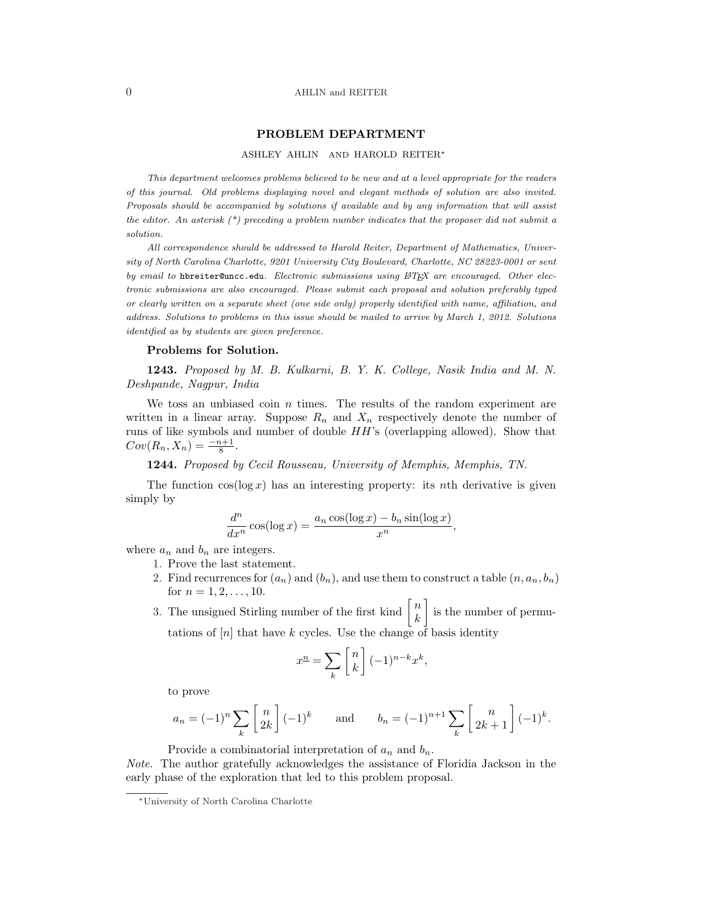## PROBLEM DEPARTMENT

### ASHLEY AHLIN AND HAROLD REITER<sup>∗</sup>

This department welcomes problems believed to be new and at a level appropriate for the readers of this journal. Old problems displaying novel and elegant methods of solution are also invited. Proposals should be accompanied by solutions if available and by any information that will assist the editor. An asterisk  $(*)$  preceding a problem number indicates that the proposer did not submit a solution.

All correspondence should be addressed to Harold Reiter, Department of Mathematics, University of North Carolina Charlotte, 9201 University City Boulevard, Charlotte, NC 28223-0001 or sent by email to hbreiter@uncc.edu. Electronic submissions using  $\mathbb{A}T$ EX are encouraged. Other electronic submissions are also encouraged. Please submit each proposal and solution preferably typed or clearly written on a separate sheet (one side only) properly identified with name, affiliation, and address. Solutions to problems in this issue should be mailed to arrive by March 1, 2012. Solutions identified as by students are given preference.

#### Problems for Solution.

1243. Proposed by M. B. Kulkarni, B. Y. K. College, Nasik India and M. N. Deshpande, Nagpur, India

We toss an unbiased coin  $n$  times. The results of the random experiment are written in a linear array. Suppose  $R_n$  and  $X_n$  respectively denote the number of runs of like symbols and number of double  $HH$ 's (overlapping allowed). Show that  $Cov(R_n, X_n) = \frac{-n+1}{8}.$ 

1244. Proposed by Cecil Rousseau, University of Memphis, Memphis, TN.

The function  $\cos(\log x)$  has an interesting property: its nth derivative is given simply by

$$
\frac{d^n}{dx^n} \cos(\log x) = \frac{a_n \cos(\log x) - b_n \sin(\log x)}{x^n},
$$

where  $a_n$  and  $b_n$  are integers.

- 1. Prove the last statement.
- 2. Find recurrences for  $(a_n)$  and  $(b_n)$ , and use them to construct a table  $(n, a_n, b_n)$ for  $n = 1, 2, \ldots, 10$ .  $\overline{a}$
- for  $n = 1, 2, ..., 10$ .<br>3. The unsigned Stirling number of the first kind  $\begin{bmatrix} n \\ n \end{bmatrix}$ k is the number of permutations of  $[n]$  that have  $k$  cycles. Use the change of basis identity

$$
x^{n} = \sum_{k} \begin{bmatrix} n \\ k \end{bmatrix} (-1)^{n-k} x^{k},
$$

to prove

$$
a_n = (-1)^n \sum_k \begin{bmatrix} n \\ 2k \end{bmatrix} (-1)^k \quad \text{and} \quad b_n = (-1)^{n+1} \sum_k \begin{bmatrix} n \\ 2k+1 \end{bmatrix} (-1)^k.
$$

Provide a combinatorial interpretation of  $a_n$  and  $b_n$ .

Note. The author gratefully acknowledges the assistance of Floridia Jackson in the early phase of the exploration that led to this problem proposal.

<sup>∗</sup>University of North Carolina Charlotte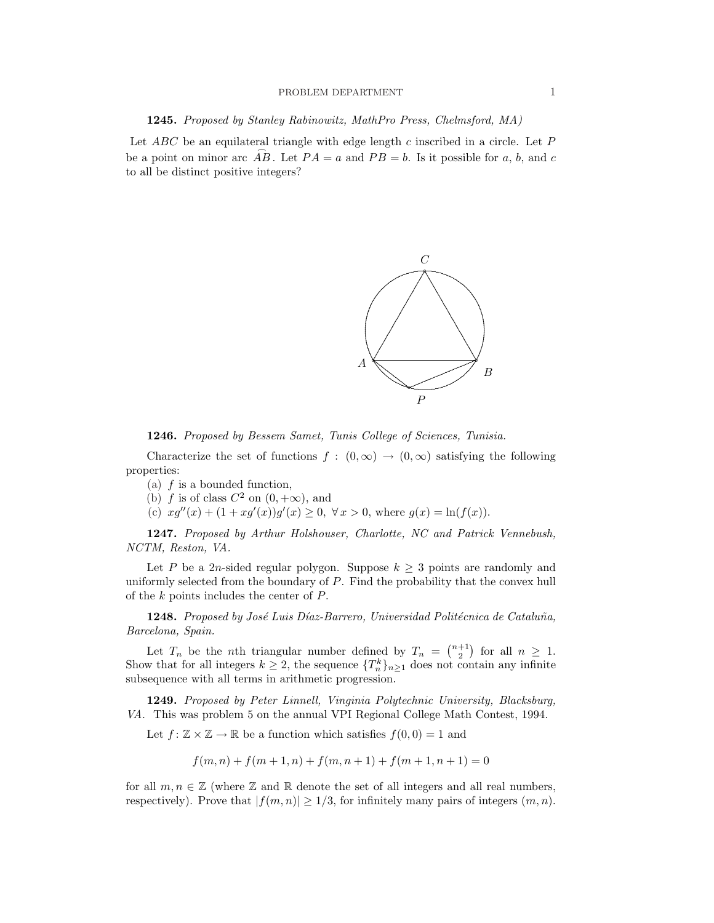## PROBLEM DEPARTMENT 1

1245. Proposed by Stanley Rabinowitz, MathPro Press, Chelmsford, MA)

Let  $ABC$  be an equilateral triangle with edge length c inscribed in a circle. Let P be a point on minor arc AB. Let  $PA = a$  and  $PB = b$ . Is it possible for a, b, and c to all be distinct positive integers?



1246. Proposed by Bessem Samet, Tunis College of Sciences, Tunisia.

Characterize the set of functions  $f : (0, \infty) \to (0, \infty)$  satisfying the following properties:

- (a)  $f$  is a bounded function,
- (b) f is of class  $C^2$  on  $(0, +\infty)$ , and
- (c)  $xg''(x) + (1 + xg'(x))g'(x) \ge 0, \forall x > 0$ , where  $g(x) = \ln(f(x))$ .

1247. Proposed by Arthur Holshouser, Charlotte, NC and Patrick Vennebush, NCTM, Reston, VA.

Let P be a 2n-sided regular polygon. Suppose  $k \geq 3$  points are randomly and uniformly selected from the boundary of P. Find the probability that the convex hull of the k points includes the center of P.

1248. Proposed by José Luis Díaz-Barrero, Universidad Politécnica de Cataluña, Barcelona, Spain.

Let  $T_n$  be the *n*th triangular number defined by  $T_n = \binom{n+1}{2}$ ¢ for all  $n \geq 1$ . Show that for all integers  $k \geq 2$ , the sequence  $\{T_n^k\}_{n \geq 1}$  does not contain any infinite subsequence with all terms in arithmetic progression.

1249. Proposed by Peter Linnell, Vinginia Polytechnic University, Blacksburg, VA. This was problem 5 on the annual VPI Regional College Math Contest, 1994.

Let  $f: \mathbb{Z} \times \mathbb{Z} \to \mathbb{R}$  be a function which satisfies  $f(0,0) = 1$  and

$$
f(m, n) + f(m + 1, n) + f(m, n + 1) + f(m + 1, n + 1) = 0
$$

for all  $m, n \in \mathbb{Z}$  (where  $\mathbb Z$  and  $\mathbb R$  denote the set of all integers and all real numbers, respectively). Prove that  $|f(m, n)| \geq 1/3$ , for infinitely many pairs of integers  $(m, n)$ .